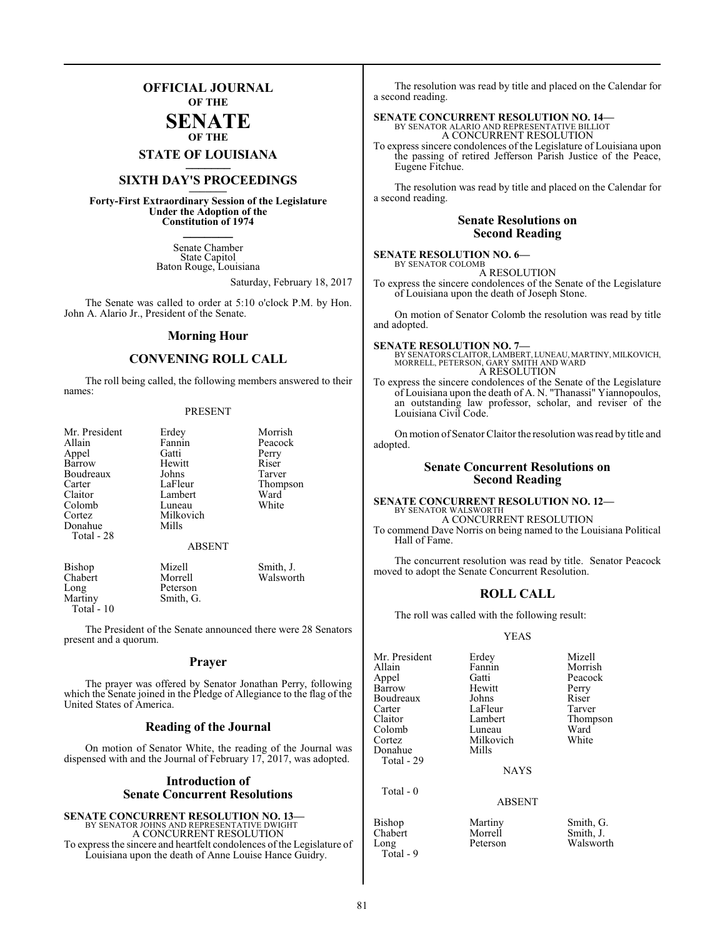## **OFFICIAL JOURNAL OF THE**

# **SENATE OF THE**

# **STATE OF LOUISIANA \_\_\_\_\_\_\_**

# **SIXTH DAY'S PROCEEDINGS \_\_\_\_\_\_\_**

**Forty-First Extraordinary Session of the Legislature Under the Adoption of the Constitution of 1974 \_\_\_\_\_\_\_**

> Senate Chamber State Capitol Baton Rouge, Louisiana

> > Saturday, February 18, 2017

The Senate was called to order at 5:10 o'clock P.M. by Hon. John A. Alario Jr., President of the Senate.

## **Morning Hour**

## **CONVENING ROLL CALL**

The roll being called, the following members answered to their names:

#### PRESENT

| Mr. President<br>Allain<br>Appel<br>Barrow<br>Boudreaux<br>Carter<br>Claitor<br>Colomb<br>Cortez<br>Donahue | Erdey<br>Fannin<br>Gatti<br>Hewitt<br>Johns<br>LaFleur<br>Lambert<br>Luneau<br>Milkovich<br>Mills | Morrish<br>Peacock<br>Perry<br>Riser<br>Tarver<br>Thompson<br>Ward<br>White |
|-------------------------------------------------------------------------------------------------------------|---------------------------------------------------------------------------------------------------|-----------------------------------------------------------------------------|
| Total - 28                                                                                                  | <b>ABSENT</b>                                                                                     |                                                                             |
| Bishop<br>Chabert<br>Long<br>Martiny                                                                        | Mizell<br>Morrell<br>Peterson<br>Smith, G.                                                        | Smith, J.<br>Walsworth                                                      |

Total - 10

The President of the Senate announced there were 28 Senators present and a quorum.

#### **Prayer**

The prayer was offered by Senator Jonathan Perry, following which the Senate joined in the Pledge of Allegiance to the flag of the United States of America.

### **Reading of the Journal**

On motion of Senator White, the reading of the Journal was dispensed with and the Journal of February 17, 2017, was adopted.

## **Introduction of Senate Concurrent Resolutions**

**SENATE CONCURRENT RESOLUTION NO. 13—** BY SENATOR JOHNS AND REPRESENTATIVE DWIGHT A CONCURRENT RESOLUTION To express the sincere and heartfelt condolences of the Legislature of Louisiana upon the death of Anne Louise Hance Guidry.

The resolution was read by title and placed on the Calendar for a second reading.

## **SENATE CONCURRENT RESOLUTION NO. 14—**

BY SENATOR ALARIO AND REPRESENTATIVE BILLIOT A CONCURRENT RESOLUTION

To express sincere condolences of the Legislature of Louisiana upon the passing of retired Jefferson Parish Justice of the Peace, Eugene Fitchue.

The resolution was read by title and placed on the Calendar for a second reading.

## **Senate Resolutions on Second Reading**

**SENATE RESOLUTION NO. 6—** BY SENATOR COLOMB

A RESOLUTION

To express the sincere condolences of the Senate of the Legislature of Louisiana upon the death of Joseph Stone.

On motion of Senator Colomb the resolution was read by title and adopted.

**SENATE RESOLUTION NO. 7—** BY SENATORS CLAITOR, LAMBERT,LUNEAU, MARTINY, MILKOVICH, MORRELL, PETERSON, GARY SMITH AND WARD A RESOLUTION

To express the sincere condolences of the Senate of the Legislature of Louisiana upon the death of A. N. "Thanassi" Yiannopoulos, an outstanding law professor, scholar, and reviser of the Louisiana Civil Code.

On motion of Senator Claitor the resolution was read by title and adopted.

## **Senate Concurrent Resolutions on Second Reading**

#### **SENATE CONCURRENT RESOLUTION NO. 12—** BY SENATOR WALSWORTH

A CONCURRENT RESOLUTION To commend Dave Norris on being named to the Louisiana Political Hall of Fame.

The concurrent resolution was read by title. Senator Peacock moved to adopt the Senate Concurrent Resolution.

## **ROLL CALL**

The roll was called with the following result:

#### YEAS

Mr. President Erdey Mizell<br>Allain Fannin Morrish Allain Fannin<br>Appel Gatti Barrow Hewitt Perry<br>Boudreaux Johns Riser Boudreaux Johns Riser<br>Carter LaFleur Tarver Carter LaFleur<br>Claitor Lambert Colomb Luneau Ward<br>
Cortez Milkovich White Donahue Total - 29

Total - 0

Total - 9

Milkovich<br>Mills

Gatti Peacock<br>
Hewitt Perry Lambert Thompson<br>
Luneau Ward

**NAYS** 

#### ABSENT

Bishop Martiny Smith, G.<br>Chabert Morrell Smith, J. Long Peterson Walsworth

Morrell Smith, J.<br>Peterson Walswort